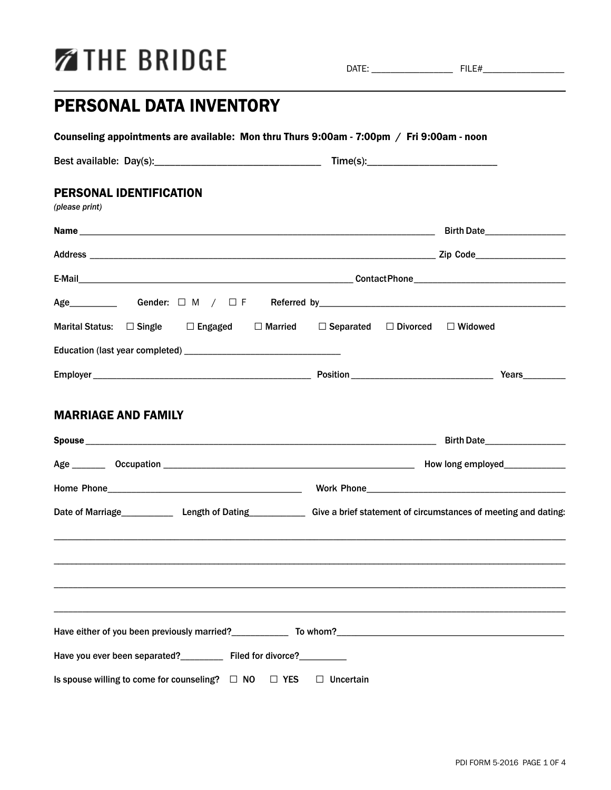# **ZIHE BRIDGE**

DATE: \_\_\_\_\_\_\_\_\_\_\_\_\_\_\_\_\_ FILE#\_\_\_\_\_\_\_\_\_\_\_\_\_\_\_\_\_

## PERSONAL DATA INVENTORY

| <b>PERSONAL IDENTIFICATION</b><br>(please print)                                                                            |                               |
|-----------------------------------------------------------------------------------------------------------------------------|-------------------------------|
|                                                                                                                             | Birth Date                    |
|                                                                                                                             |                               |
|                                                                                                                             |                               |
|                                                                                                                             |                               |
| Marital Status: □ Single □ Engaged □ Married □ Separated □ Divorced □ Widowed                                               |                               |
|                                                                                                                             |                               |
|                                                                                                                             |                               |
|                                                                                                                             |                               |
|                                                                                                                             |                               |
| <b>MARRIAGE AND FAMILY</b>                                                                                                  | Birth Date___________________ |
|                                                                                                                             |                               |
| Date of Marriage______________ Length of Dating_____________ Give a brief statement of circumstances of meeting and dating: |                               |
|                                                                                                                             |                               |
|                                                                                                                             |                               |
|                                                                                                                             |                               |
|                                                                                                                             |                               |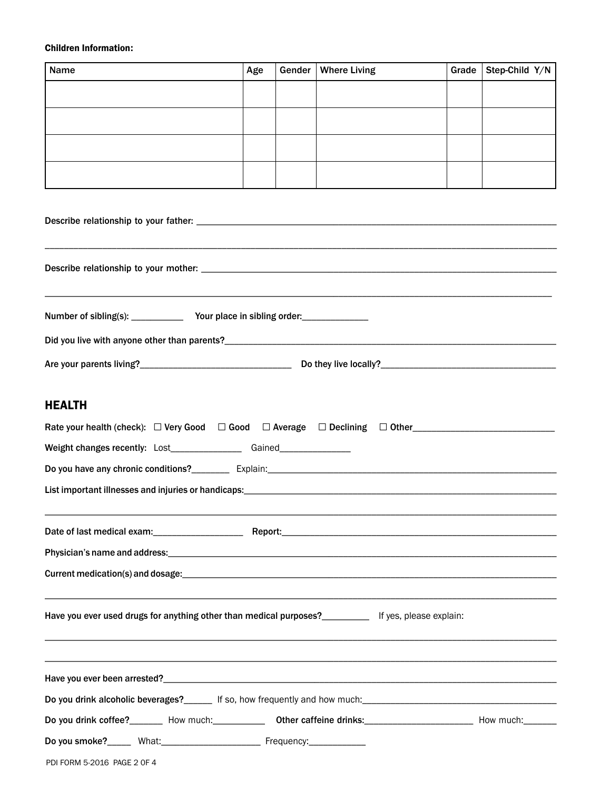#### Children Information:

| Name | Age | Gender   Where Living | Grade   Step-Child $Y/N$ |
|------|-----|-----------------------|--------------------------|
|      |     |                       |                          |
|      |     |                       |                          |
|      |     |                       |                          |
|      |     |                       |                          |

### HEALTH

| Weight changes recently: Lost__________________Gained___________________________                                                                                                                                              |  |  |  |  |
|-------------------------------------------------------------------------------------------------------------------------------------------------------------------------------------------------------------------------------|--|--|--|--|
|                                                                                                                                                                                                                               |  |  |  |  |
|                                                                                                                                                                                                                               |  |  |  |  |
|                                                                                                                                                                                                                               |  |  |  |  |
|                                                                                                                                                                                                                               |  |  |  |  |
| Current medication(s) and dosage: enterprise the control of the control of the control of the control of the control of the control of the control of the control of the control of the control of the control of the control |  |  |  |  |
| Have you ever used drugs for anything other than medical purposes?<br>If yes, please explain:                                                                                                                                 |  |  |  |  |
|                                                                                                                                                                                                                               |  |  |  |  |
| Do you drink alcoholic beverages?______ If so, how frequently and how much:___________________________________                                                                                                                |  |  |  |  |
| Do you drink coffee?_______ How much:_____________ Other caffeine drinks:__________________________ How much:_______                                                                                                          |  |  |  |  |
|                                                                                                                                                                                                                               |  |  |  |  |
| PDI FORM 5-2016 PAGE 2 OF 4                                                                                                                                                                                                   |  |  |  |  |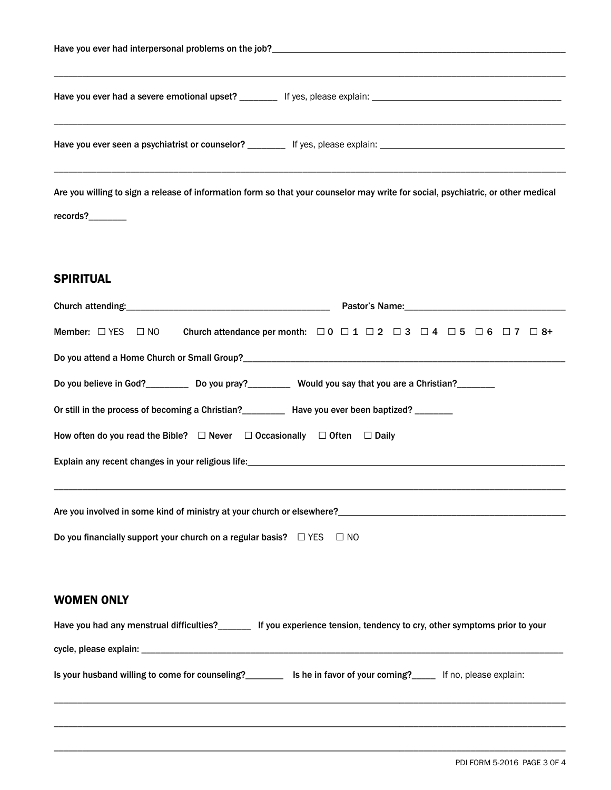| Have you ever had interpersonal problems on the job?_____________________________ |                                                                                                                                  |  |
|-----------------------------------------------------------------------------------|----------------------------------------------------------------------------------------------------------------------------------|--|
|                                                                                   |                                                                                                                                  |  |
|                                                                                   |                                                                                                                                  |  |
| records?                                                                          | Are you willing to sign a release of information form so that your counselor may write for social, psychiatric, or other medical |  |

### SPIRITUAL

| Pastor's Name: <b>Example 2018</b>                                                                                                                                                                                                        |  |  |  |
|-------------------------------------------------------------------------------------------------------------------------------------------------------------------------------------------------------------------------------------------|--|--|--|
| Member: $\Box$ YES $\Box$ NO Church attendance per month: $\Box$ 0 $\Box$ 1 $\Box$ 2 $\Box$ 3 $\Box$ 4 $\Box$ 5 $\Box$ 6 $\Box$ 7 $\Box$ 8+                                                                                               |  |  |  |
|                                                                                                                                                                                                                                           |  |  |  |
| Do you believe in God?_____________ Do you pray?______________ Would you say that you are a Christian?________                                                                                                                            |  |  |  |
| Or still in the process of becoming a Christian?<br>Have you ever been baptized?                                                                                                                                                          |  |  |  |
| How often do you read the Bible? $\Box$ Never $\Box$ Occasionally $\Box$ Often $\Box$ Daily                                                                                                                                               |  |  |  |
|                                                                                                                                                                                                                                           |  |  |  |
| Are you involved in some kind of ministry at your church or elsewhere?<br>Are you involved in some kind of ministry at your church or elsewhere?<br>Do you financially support your church on a regular basis? $\square$ YES $\square$ NO |  |  |  |
| <b>WOMEN ONLY</b>                                                                                                                                                                                                                         |  |  |  |
| Have you had any menstrual difficulties?_______ If you experience tension, tendency to cry, other symptoms prior to your                                                                                                                  |  |  |  |
|                                                                                                                                                                                                                                           |  |  |  |
| Is your husband willing to come for counseling?<br>Lis he in favor of your coming?<br>If no, please explain:                                                                                                                              |  |  |  |

\_\_\_\_\_\_\_\_\_\_\_\_\_\_\_\_\_\_\_\_\_\_\_\_\_\_\_\_\_\_\_\_\_\_\_\_\_\_\_\_\_\_\_\_\_\_\_\_\_\_\_\_\_\_\_\_\_\_\_\_\_\_\_\_\_\_\_\_\_\_\_\_\_\_\_\_\_\_\_\_\_\_\_\_\_\_\_\_\_\_\_\_\_\_\_\_\_\_\_\_\_\_\_\_\_\_\_\_

\_\_\_\_\_\_\_\_\_\_\_\_\_\_\_\_\_\_\_\_\_\_\_\_\_\_\_\_\_\_\_\_\_\_\_\_\_\_\_\_\_\_\_\_\_\_\_\_\_\_\_\_\_\_\_\_\_\_\_\_\_\_\_\_\_\_\_\_\_\_\_\_\_\_\_\_\_\_\_\_\_\_\_\_\_\_\_\_\_\_\_\_\_\_\_\_\_\_\_\_\_\_\_\_\_\_\_\_

\_\_\_\_\_\_\_\_\_\_\_\_\_\_\_\_\_\_\_\_\_\_\_\_\_\_\_\_\_\_\_\_\_\_\_\_\_\_\_\_\_\_\_\_\_\_\_\_\_\_\_\_\_\_\_\_\_\_\_\_\_\_\_\_\_\_\_\_\_\_\_\_\_\_\_\_\_\_\_\_\_\_\_\_\_\_\_\_\_\_\_\_\_\_\_\_\_\_\_\_\_\_\_\_\_\_\_\_